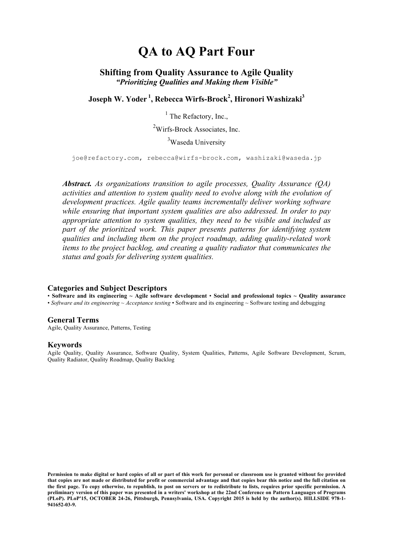# **QA to AQ Part Four**

## **Shifting from Quality Assurance to Agile Quality** *"Prioritizing Qualities and Making them Visible"*

**Joseph W. Yoder <sup>1</sup> , Rebecca Wirfs-Brock<sup>2</sup> , Hironori Washizaki3**

 $<sup>1</sup>$  The Refactory, Inc.,</sup>

<sup>2</sup>Wirfs-Brock Associates, Inc.

<sup>3</sup>Waseda University

joe@refactory.com, rebecca@wirfs-brock.com, washizaki@waseda.jp

*Abstract. As organizations transition to agile processes, Quality Assurance (QA) activities and attention to system quality need to evolve along with the evolution of development practices. Agile quality teams incrementally deliver working software while ensuring that important system qualities are also addressed. In order to pay appropriate attention to system qualities, they need to be visible and included as part of the prioritized work. This paper presents patterns for identifying system qualities and including them on the project roadmap, adding quality-related work items to the project backlog, and creating a quality radiator that communicates the status and goals for delivering system qualities.*

#### **Categories and Subject Descriptors**

• **Software and its engineering ~ Agile software development** • **Social and professional topics ~ Quality assurance** • *Software and its engineering ~ Acceptance testing* • Software and its engineering ~ Software testing and debugging

#### **General Terms**

Agile, Quality Assurance, Patterns, Testing

#### **Keywords**

Agile Quality, Quality Assurance, Software Quality, System Qualities, Patterns, Agile Software Development, Scrum, Quality Radiator, Quality Roadmap, Quality Backlog

**Permission to make digital or hard copies of all or part of this work for personal or classroom use is granted without fee provided that copies are not made or distributed for profit or commercial advantage and that copies bear this notice and the full citation on the first page. To copy otherwise, to republish, to post on servers or to redistribute to lists, requires prior specific permission. A preliminary version of this paper was presented in a writers' workshop at the 22nd Conference on Pattern Languages of Programs (PLoP). PLoP'15, OCTOBER 24-26, Pittsburgh, Pennsylvania, USA. Copyright 2015 is held by the author(s). HILLSIDE 978-1- 941652-03-9.**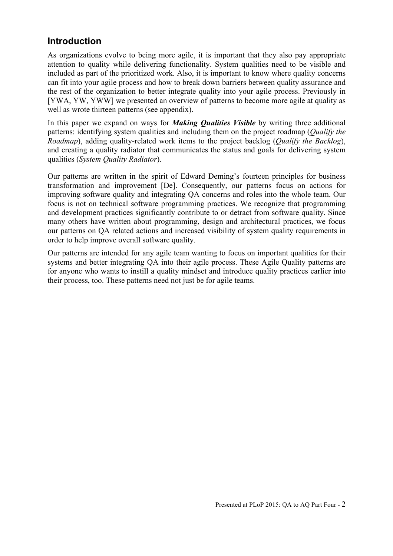# **Introduction**

As organizations evolve to being more agile, it is important that they also pay appropriate attention to quality while delivering functionality. System qualities need to be visible and included as part of the prioritized work. Also, it is important to know where quality concerns can fit into your agile process and how to break down barriers between quality assurance and the rest of the organization to better integrate quality into your agile process. Previously in [YWA, YW, YWW] we presented an overview of patterns to become more agile at quality as well as wrote thirteen patterns (see appendix).

In this paper we expand on ways for *Making Qualities Visible* by writing three additional patterns: identifying system qualities and including them on the project roadmap (*Qualify the Roadmap*), adding quality-related work items to the project backlog (*Qualify the Backlog*), and creating a quality radiator that communicates the status and goals for delivering system qualities (*System Quality Radiator*).

Our patterns are written in the spirit of Edward Deming's fourteen principles for business transformation and improvement [De]. Consequently, our patterns focus on actions for improving software quality and integrating QA concerns and roles into the whole team. Our focus is not on technical software programming practices. We recognize that programming and development practices significantly contribute to or detract from software quality. Since many others have written about programming, design and architectural practices, we focus our patterns on QA related actions and increased visibility of system quality requirements in order to help improve overall software quality.

Our patterns are intended for any agile team wanting to focus on important qualities for their systems and better integrating QA into their agile process. These Agile Quality patterns are for anyone who wants to instill a quality mindset and introduce quality practices earlier into their process, too. These patterns need not just be for agile teams.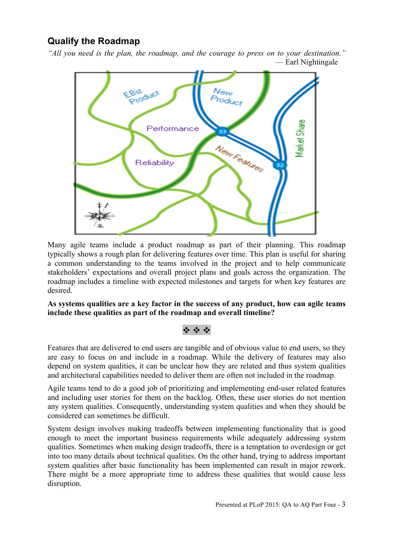# **Qualify the Roadmap**

*"All you need is the plan, the roadmap, and the courage to press on to your destination."* — Earl Nightingale



Many agile teams include a product roadmap as part of their planning. This roadmap typically shows a rough plan for delivering features over time. This plan is useful for sharing a common understanding to the teams involved in the project and to help communicate stakeholders' expectations and overall project plans and goals across the organization. The roadmap includes a timeline with expected milestones and targets for when key features are desired.

**As systems qualities are a key factor in the success of any product, how can agile teams include these qualities as part of the roadmap and overall timeline?**

## v v v

Features that are delivered to end users are tangible and of obvious value to end users, so they are easy to focus on and include in a roadmap. While the delivery of features may also depend on system qualities, it can be unclear how they are related and thus system qualities and architectural capabilities needed to deliver them are often not included in the roadmap.

Agile teams tend to do a good job of prioritizing and implementing end-user related features and including user stories for them on the backlog. Often, these user stories do not mention any system qualities. Consequently, understanding system qualities and when they should be considered can sometimes be difficult.

System design involves making tradeoffs between implementing functionality that is good enough to meet the important business requirements while adequately addressing system qualities. Sometimes when making design tradeoffs, there is a temptation to overdesign or get into too many details about technical qualities. On the other hand, trying to address important system qualities after basic functionality has been implemented can result in major rework. There might be a more appropriate time to address these qualities that would cause less disruption.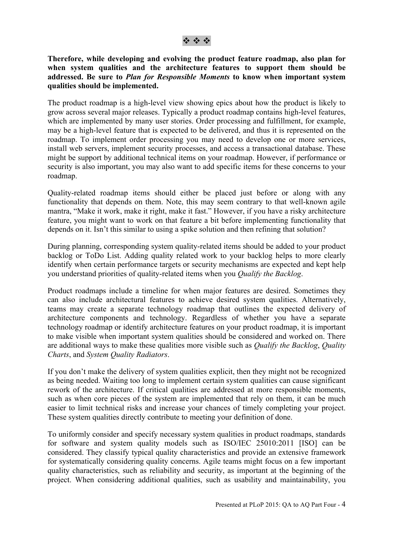#### **Therefore, while developing and evolving the product feature roadmap, also plan for when system qualities and the architecture features to support them should be addressed. Be sure to** *Plan for Responsible Moments* **to know when important system qualities should be implemented.**

The product roadmap is a high-level view showing epics about how the product is likely to grow across several major releases. Typically a product roadmap contains high-level features, which are implemented by many user stories. Order processing and fulfillment, for example, may be a high-level feature that is expected to be delivered, and thus it is represented on the roadmap. To implement order processing you may need to develop one or more services, install web servers, implement security processes, and access a transactional database. These might be support by additional technical items on your roadmap. However, if performance or security is also important, you may also want to add specific items for these concerns to your roadmap.

Quality-related roadmap items should either be placed just before or along with any functionality that depends on them. Note, this may seem contrary to that well-known agile mantra, "Make it work, make it right, make it fast." However, if you have a risky architecture feature, you might want to work on that feature a bit before implementing functionality that depends on it. Isn't this similar to using a spike solution and then refining that solution?

During planning, corresponding system quality-related items should be added to your product backlog or ToDo List. Adding quality related work to your backlog helps to more clearly identify when certain performance targets or security mechanisms are expected and kept help you understand priorities of quality-related items when you *Qualify the Backlog*.

Product roadmaps include a timeline for when major features are desired. Sometimes they can also include architectural features to achieve desired system qualities. Alternatively, teams may create a separate technology roadmap that outlines the expected delivery of architecture components and technology. Regardless of whether you have a separate technology roadmap or identify architecture features on your product roadmap, it is important to make visible when important system qualities should be considered and worked on. There are additional ways to make these qualities more visible such as *Qualify the Backlog*, *Quality Charts*, and *System Quality Radiators*.

If you don't make the delivery of system qualities explicit, then they might not be recognized as being needed. Waiting too long to implement certain system qualities can cause significant rework of the architecture. If critical qualities are addressed at more responsible moments, such as when core pieces of the system are implemented that rely on them, it can be much easier to limit technical risks and increase your chances of timely completing your project. These system qualities directly contribute to meeting your definition of done.

To uniformly consider and specify necessary system qualities in product roadmaps, standards for software and system quality models such as ISO/IEC 25010:2011 [ISO] can be considered. They classify typical quality characteristics and provide an extensive framework for systematically considering quality concerns. Agile teams might focus on a few important quality characteristics, such as reliability and security, as important at the beginning of the project. When considering additional qualities, such as usability and maintainability, you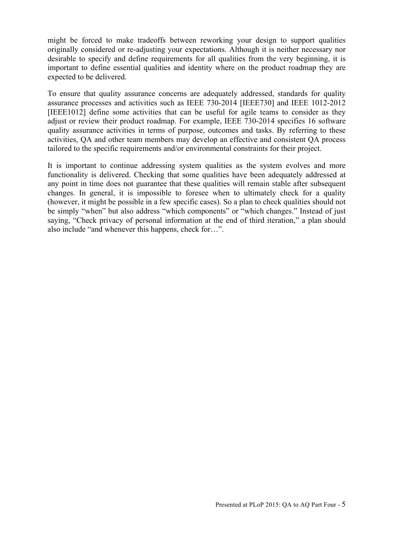might be forced to make tradeoffs between reworking your design to support qualities originally considered or re-adjusting your expectations. Although it is neither necessary nor desirable to specify and define requirements for all qualities from the very beginning, it is important to define essential qualities and identity where on the product roadmap they are expected to be delivered.

To ensure that quality assurance concerns are adequately addressed, standards for quality assurance processes and activities such as IEEE 730-2014 [IEEE730] and IEEE 1012-2012 [IEEE1012] define some activities that can be useful for agile teams to consider as they adjust or review their product roadmap. For example, IEEE 730-2014 specifies 16 software quality assurance activities in terms of purpose, outcomes and tasks. By referring to these activities, QA and other team members may develop an effective and consistent QA process tailored to the specific requirements and/or environmental constraints for their project.

It is important to continue addressing system qualities as the system evolves and more functionality is delivered. Checking that some qualities have been adequately addressed at any point in time does not guarantee that these qualities will remain stable after subsequent changes. In general, it is impossible to foresee when to ultimately check for a quality (however, it might be possible in a few specific cases). So a plan to check qualities should not be simply "when" but also address "which components" or "which changes." Instead of just saying, "Check privacy of personal information at the end of third iteration," a plan should also include "and whenever this happens, check for…".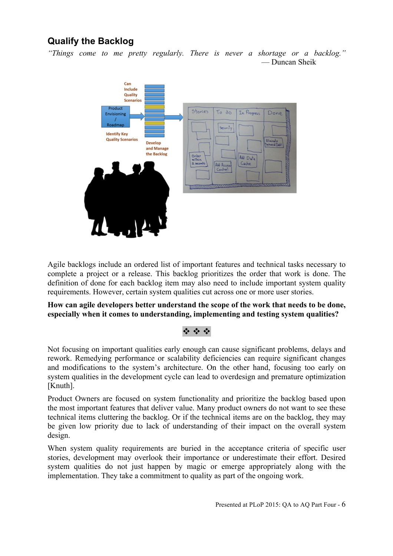# **Qualify the Backlog**

*"Things come to me pretty regularly. There is never a shortage or a backlog."* — Duncan Sheik



Agile backlogs include an ordered list of important features and technical tasks necessary to complete a project or a release. This backlog prioritizes the order that work is done. The definition of done for each backlog item may also need to include important system quality requirements. However, certain system qualities cut across one or more user stories.

**How can agile developers better understand the scope of the work that needs to be done, especially when it comes to understanding, implementing and testing system qualities?**

## $\psi$   $\psi$   $\psi$

Not focusing on important qualities early enough can cause significant problems, delays and rework. Remedying performance or scalability deficiencies can require significant changes and modifications to the system's architecture. On the other hand, focusing too early on system qualities in the development cycle can lead to overdesign and premature optimization [Knuth].

Product Owners are focused on system functionality and prioritize the backlog based upon the most important features that deliver value. Many product owners do not want to see these technical items cluttering the backlog. Or if the technical items are on the backlog, they may be given low priority due to lack of understanding of their impact on the overall system design.

When system quality requirements are buried in the acceptance criteria of specific user stories, development may overlook their importance or underestimate their effort. Desired system qualities do not just happen by magic or emerge appropriately along with the implementation. They take a commitment to quality as part of the ongoing work.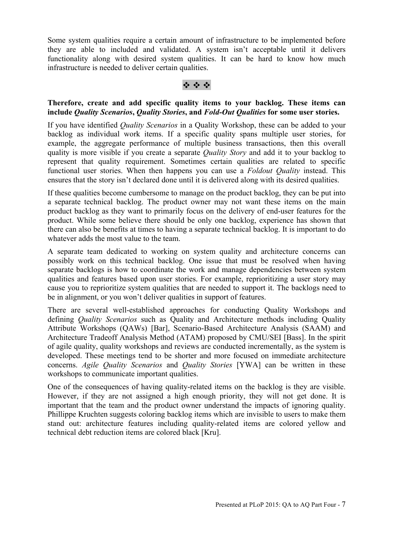Some system qualities require a certain amount of infrastructure to be implemented before they are able to included and validated. A system isn't acceptable until it delivers functionality along with desired system qualities. It can be hard to know how much infrastructure is needed to deliver certain qualities.

## v v v

#### **Therefore, create and add specific quality items to your backlog. These items can include** *Quality Scenarios***,** *Quality Stories***, and** *Fold-Out Qualities* **for some user stories.**

If you have identified *Quality Scenarios* in a Quality Workshop, these can be added to your backlog as individual work items. If a specific quality spans multiple user stories, for example, the aggregate performance of multiple business transactions, then this overall quality is more visible if you create a separate *Quality Story* and add it to your backlog to represent that quality requirement. Sometimes certain qualities are related to specific functional user stories. When then happens you can use a *Foldout Quality* instead. This ensures that the story isn't declared done until it is delivered along with its desired qualities.

If these qualities become cumbersome to manage on the product backlog, they can be put into a separate technical backlog. The product owner may not want these items on the main product backlog as they want to primarily focus on the delivery of end-user features for the product. While some believe there should be only one backlog, experience has shown that there can also be benefits at times to having a separate technical backlog. It is important to do whatever adds the most value to the team.

A separate team dedicated to working on system quality and architecture concerns can possibly work on this technical backlog. One issue that must be resolved when having separate backlogs is how to coordinate the work and manage dependencies between system qualities and features based upon user stories. For example, reprioritizing a user story may cause you to reprioritize system qualities that are needed to support it. The backlogs need to be in alignment, or you won't deliver qualities in support of features.

There are several well-established approaches for conducting Quality Workshops and defining *Quality Scenarios* such as Quality and Architecture methods including Quality Attribute Workshops (QAWs) [Bar], Scenario-Based Architecture Analysis (SAAM) and Architecture Tradeoff Analysis Method (ATAM) proposed by CMU/SEI [Bass]. In the spirit of agile quality, quality workshops and reviews are conducted incrementally, as the system is developed. These meetings tend to be shorter and more focused on immediate architecture concerns. *Agile Quality Scenarios* and *Quality Stories* [YWA] can be written in these workshops to communicate important qualities.

One of the consequences of having quality-related items on the backlog is they are visible. However, if they are not assigned a high enough priority, they will not get done. It is important that the team and the product owner understand the impacts of ignoring quality. Phillippe Kruchten suggests coloring backlog items which are invisible to users to make them stand out: architecture features including quality-related items are colored yellow and technical debt reduction items are colored black [Kru].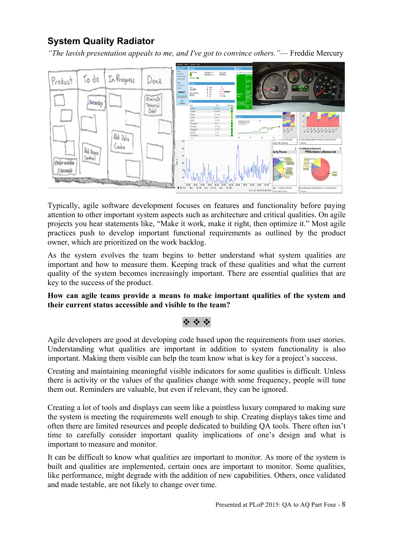# **System Quality Radiator**

*"The lavish presentation appeals to me, and I've got to convince others."*— Freddie Mercury



Typically, agile software development focuses on features and functionality before paying attention to other important system aspects such as architecture and critical qualities. On agile projects you hear statements like, "Make it work, make it right, then optimize it." Most agile practices push to develop important functional requirements as outlined by the product owner, which are prioritized on the work backlog.

As the system evolves the team begins to better understand what system qualities are important and how to measure them. Keeping track of these qualities and what the current quality of the system becomes increasingly important. There are essential qualities that are key to the success of the product.

**How can agile teams provide a means to make important qualities of the system and their current status accessible and visible to the team?**

## v v v

Agile developers are good at developing code based upon the requirements from user stories. Understanding what qualities are important in addition to system functionality is also important. Making them visible can help the team know what is key for a project's success.

Creating and maintaining meaningful visible indicators for some qualities is difficult. Unless there is activity or the values of the qualities change with some frequency, people will tune them out. Reminders are valuable, but even if relevant, they can be ignored.

Creating a lot of tools and displays can seem like a pointless luxury compared to making sure the system is meeting the requirements well enough to ship. Creating displays takes time and often there are limited resources and people dedicated to building QA tools. There often isn't time to carefully consider important quality implications of one's design and what is important to measure and monitor.

It can be difficult to know what qualities are important to monitor. As more of the system is built and qualities are implemented, certain ones are important to monitor. Some qualities, like performance, might degrade with the addition of new capabilities. Others, once validated and made testable, are not likely to change over time.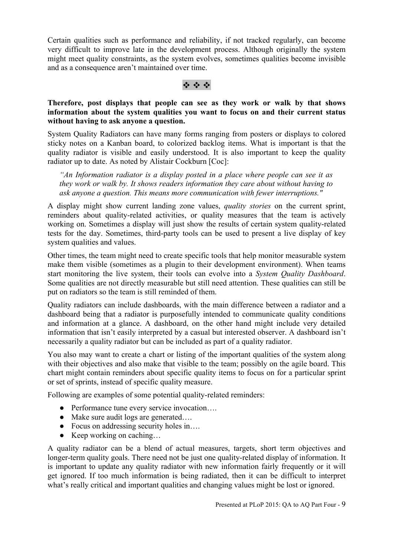Certain qualities such as performance and reliability, if not tracked regularly, can become very difficult to improve late in the development process. Although originally the system might meet quality constraints, as the system evolves, sometimes qualities become invisible and as a consequence aren't maintained over time.

#### v v v

### **Therefore, post displays that people can see as they work or walk by that shows information about the system qualities you want to focus on and their current status without having to ask anyone a question.**

System Quality Radiators can have many forms ranging from posters or displays to colored sticky notes on a Kanban board, to colorized backlog items. What is important is that the quality radiator is visible and easily understood. It is also important to keep the quality radiator up to date. As noted by Alistair Cockburn [Coc]:

*"An Information radiator is a display posted in a place where people can see it as they work or walk by. It shows readers information they care about without having to ask anyone a question. This means more communication with fewer interruptions."*

A display might show current landing zone values, *quality stories* on the current sprint, reminders about quality-related activities, or quality measures that the team is actively working on. Sometimes a display will just show the results of certain system quality-related tests for the day. Sometimes, third-party tools can be used to present a live display of key system qualities and values.

Other times, the team might need to create specific tools that help monitor measurable system make them visible (sometimes as a plugin to their development environment). When teams start monitoring the live system, their tools can evolve into a *System Quality Dashboard*. Some qualities are not directly measurable but still need attention. These qualities can still be put on radiators so the team is still reminded of them.

Quality radiators can include dashboards, with the main difference between a radiator and a dashboard being that a radiator is purposefully intended to communicate quality conditions and information at a glance. A dashboard, on the other hand might include very detailed information that isn't easily interpreted by a casual but interested observer. A dashboard isn't necessarily a quality radiator but can be included as part of a quality radiator.

You also may want to create a chart or listing of the important qualities of the system along with their objectives and also make that visible to the team; possibly on the agile board. This chart might contain reminders about specific quality items to focus on for a particular sprint or set of sprints, instead of specific quality measure.

Following are examples of some potential quality-related reminders:

- Performance tune every service invocation….
- Make sure audit logs are generated....
- Focus on addressing security holes in….
- $\bullet$  Keep working on caching...

A quality radiator can be a blend of actual measures, targets, short term objectives and longer-term quality goals. There need not be just one quality-related display of information. It is important to update any quality radiator with new information fairly frequently or it will get ignored. If too much information is being radiated, then it can be difficult to interpret what's really critical and important qualities and changing values might be lost or ignored.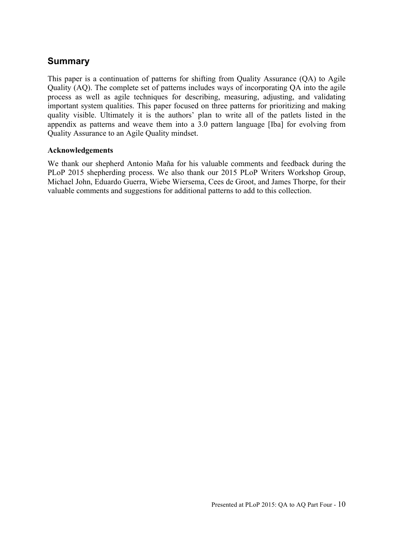# **Summary**

This paper is a continuation of patterns for shifting from Quality Assurance (QA) to Agile Quality (AQ). The complete set of patterns includes ways of incorporating QA into the agile process as well as agile techniques for describing, measuring, adjusting, and validating important system qualities. This paper focused on three patterns for prioritizing and making quality visible. Ultimately it is the authors' plan to write all of the patlets listed in the appendix as patterns and weave them into a 3.0 pattern language [Iba] for evolving from Quality Assurance to an Agile Quality mindset.

#### **Acknowledgements**

We thank our shepherd Antonio Maña for his valuable comments and feedback during the PLoP 2015 shepherding process. We also thank our 2015 PLoP Writers Workshop Group, Michael John, Eduardo Guerra, Wiebe Wiersema, Cees de Groot, and James Thorpe, for their valuable comments and suggestions for additional patterns to add to this collection.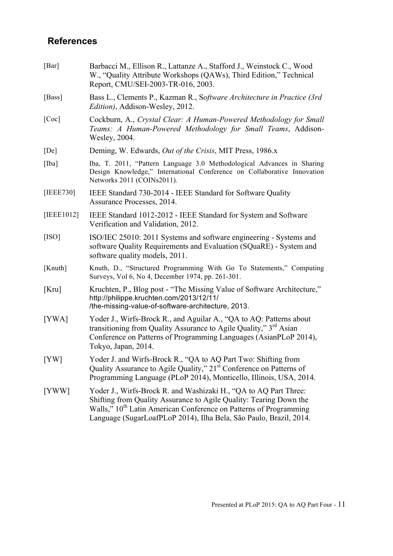# **References**

| [Bar]      | Barbacci M., Ellison R., Lattanze A., Stafford J., Weinstock C., Wood<br>W., "Quality Attribute Workshops (QAWs), Third Edition," Technical<br>Report, CMU/SEI-2003-TR-016, 2003.                                                                                                             |
|------------|-----------------------------------------------------------------------------------------------------------------------------------------------------------------------------------------------------------------------------------------------------------------------------------------------|
| [Bass]     | Bass L., Clements P., Kazman R., Software Architecture in Practice (3rd)<br><i>Edition</i> ), Addison-Wesley, 2012.                                                                                                                                                                           |
| [Coc]      | Cockburn, A., Crystal Clear: A Human-Powered Methodology for Small<br>Teams: A Human-Powered Methodology for Small Teams, Addison-<br>Wesley, 2004.                                                                                                                                           |
| [De]       | Deming, W. Edwards, <i>Out of the Crisis</i> , MIT Press, 1986.x                                                                                                                                                                                                                              |
| [Iba]      | Iba, T. 2011, "Pattern Language 3.0 Methodological Advances in Sharing<br>Design Knowledge," International Conference on Collaborative Innovation<br>Networks 2011 (COINs2011).                                                                                                               |
| [IEEE730]  | IEEE Standard 730-2014 - IEEE Standard for Software Quality<br>Assurance Processes, 2014.                                                                                                                                                                                                     |
| [IEEE1012] | IEEE Standard 1012-2012 - IEEE Standard for System and Software<br>Verification and Validation, 2012.                                                                                                                                                                                         |
| [ISO]      | ISO/IEC 25010: 2011 Systems and software engineering - Systems and<br>software Quality Requirements and Evaluation (SQuaRE) - System and<br>software quality models, 2011.                                                                                                                    |
| [Knuth]    | Knuth, D., "Structured Programming With Go To Statements," Computing<br>Surveys, Vol 6, No 4, December 1974, pp. 261-301.                                                                                                                                                                     |
| [Kru]      | Kruchten, P., Blog post - "The Missing Value of Software Architecture,"<br>http://philippe.kruchten.com/2013/12/11/<br>/the-missing-value-of-software-architecture, 2013.                                                                                                                     |
| [YWA]      | Yoder J., Wirfs-Brock R., and Aguilar A., "QA to AQ: Patterns about<br>transitioning from Quality Assurance to Agile Quality," 3 <sup>rd</sup> Asian<br>Conference on Patterns of Programming Languages (AsianPLoP 2014),<br>Tokyo, Japan, 2014.                                              |
| [YW]       | Yoder J. and Wirfs-Brock R., "QA to AQ Part Two: Shifting from<br>Quality Assurance to Agile Quality," 21 <sup>st</sup> Conference on Patterns of<br>Programming Language (PLoP 2014), Monticello, Illinois, USA, 2014.                                                                       |
| [YWW]      | Yoder J., Wirfs-Brock R. and Washizaki H., "QA to AQ Part Three:<br>Shifting from Quality Assurance to Agile Quality: Tearing Down the<br>Walls," 10 <sup>th</sup> Latin American Conference on Patterns of Programming<br>Language (SugarLoafPLoP 2014), Ilha Bela, São Paulo, Brazil, 2014. |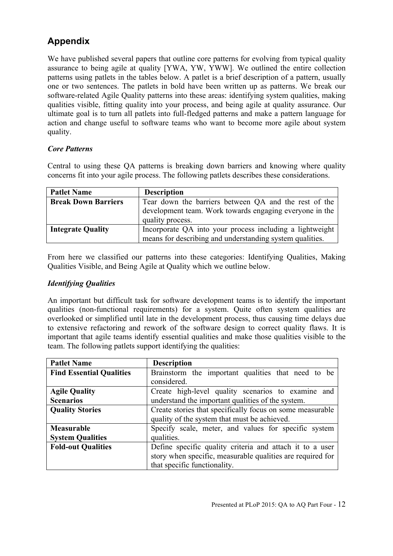# **Appendix**

We have published several papers that outline core patterns for evolving from typical quality assurance to being agile at quality [YWA, YW, YWW]. We outlined the entire collection patterns using patlets in the tables below. A patlet is a brief description of a pattern, usually one or two sentences. The patlets in bold have been written up as patterns. We break our software-related Agile Quality patterns into these areas: identifying system qualities, making qualities visible, fitting quality into your process, and being agile at quality assurance. Our ultimate goal is to turn all patlets into full-fledged patterns and make a pattern language for action and change useful to software teams who want to become more agile about system quality.

## *Core Patterns*

Central to using these QA patterns is breaking down barriers and knowing where quality concerns fit into your agile process. The following patlets describes these considerations.

| <b>Patlet Name</b>         | <b>Description</b>                                                                                                                   |
|----------------------------|--------------------------------------------------------------------------------------------------------------------------------------|
| <b>Break Down Barriers</b> | Tear down the barriers between QA and the rest of the<br>development team. Work towards engaging everyone in the<br>quality process. |
| <b>Integrate Quality</b>   | Incorporate QA into your process including a lightweight<br>means for describing and understanding system qualities.                 |

From here we classified our patterns into these categories: Identifying Qualities, Making Qualities Visible, and Being Agile at Quality which we outline below.

## *Identifying Qualities*

An important but difficult task for software development teams is to identify the important qualities (non-functional requirements) for a system. Quite often system qualities are overlooked or simplified until late in the development process, thus causing time delays due to extensive refactoring and rework of the software design to correct quality flaws. It is important that agile teams identify essential qualities and make those qualities visible to the team. The following patlets support identifying the qualities:

| <b>Patlet Name</b>              | <b>Description</b>                                         |
|---------------------------------|------------------------------------------------------------|
| <b>Find Essential Qualities</b> | Brainstorm the important qualities that need to be         |
|                                 | considered.                                                |
| <b>Agile Quality</b>            | Create high-level quality scenarios to examine and         |
| <b>Scenarios</b>                | understand the important qualities of the system.          |
| <b>Quality Stories</b>          | Create stories that specifically focus on some measurable  |
|                                 | quality of the system that must be achieved.               |
| <b>Measurable</b>               | Specify scale, meter, and values for specific system       |
| <b>System Qualities</b>         | qualities.                                                 |
| <b>Fold-out Qualities</b>       | Define specific quality criteria and attach it to a user   |
|                                 | story when specific, measurable qualities are required for |
|                                 | that specific functionality.                               |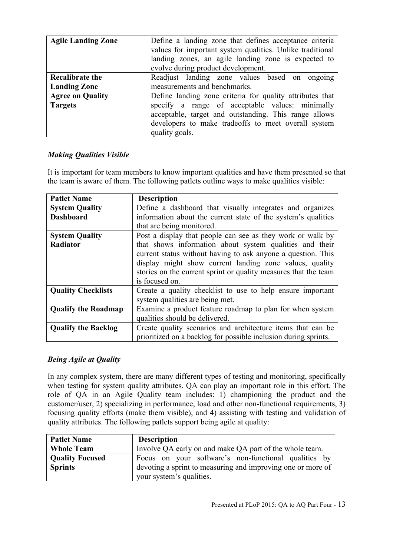| <b>Agile Landing Zone</b>                     | Define a landing zone that defines acceptance criteria<br>values for important system qualities. Unlike traditional<br>landing zones, an agile landing zone is expected to<br>evolve during product development.                              |
|-----------------------------------------------|-----------------------------------------------------------------------------------------------------------------------------------------------------------------------------------------------------------------------------------------------|
| <b>Recalibrate the</b><br><b>Landing Zone</b> | Readjust landing zone values based on ongoing<br>measurements and benchmarks.                                                                                                                                                                 |
| <b>Agree on Quality</b><br><b>Targets</b>     | Define landing zone criteria for quality attributes that<br>specify a range of acceptable values: minimally<br>acceptable, target and outstanding. This range allows<br>developers to make tradeoffs to meet overall system<br>quality goals. |

## *Making Qualities Visible*

It is important for team members to know important qualities and have them presented so that the team is aware of them. The following patlets outline ways to make qualities visible:

| <b>Patlet Name</b>         | <b>Description</b>                                              |
|----------------------------|-----------------------------------------------------------------|
| <b>System Quality</b>      | Define a dashboard that visually integrates and organizes       |
| <b>Dashboard</b>           | information about the current state of the system's qualities   |
|                            | that are being monitored.                                       |
| <b>System Quality</b>      | Post a display that people can see as they work or walk by      |
| Radiator                   | that shows information about system qualities and their         |
|                            | current status without having to ask anyone a question. This    |
|                            | display might show current landing zone values, quality         |
|                            | stories on the current sprint or quality measures that the team |
|                            | is focused on.                                                  |
| <b>Quality Checklists</b>  | Create a quality checklist to use to help ensure important      |
|                            | system qualities are being met.                                 |
| <b>Qualify the Roadmap</b> | Examine a product feature roadmap to plan for when system       |
|                            | qualities should be delivered.                                  |
| <b>Qualify the Backlog</b> | Create quality scenarios and architecture items that can be     |
|                            | prioritized on a backlog for possible inclusion during sprints. |

## *Being Agile at Quality*

In any complex system, there are many different types of testing and monitoring, specifically when testing for system quality attributes. QA can play an important role in this effort. The role of QA in an Agile Quality team includes: 1) championing the product and the customer/user, 2) specializing in performance, load and other non-functional requirements, 3) focusing quality efforts (make them visible), and 4) assisting with testing and validation of quality attributes. The following patlets support being agile at quality:

| <b>Patlet Name</b>     | <b>Description</b>                                          |
|------------------------|-------------------------------------------------------------|
| <b>Whole Team</b>      | Involve QA early on and make QA part of the whole team.     |
| <b>Quality Focused</b> | Focus on your software's non-functional qualities by        |
| <b>Sprints</b>         | devoting a sprint to measuring and improving one or more of |
|                        | your system's qualities.                                    |